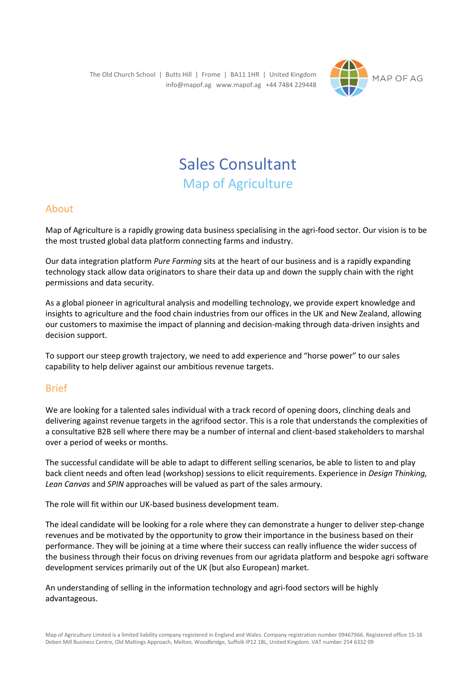The Old Church School | Butts Hill | Frome | BA11 1HR | United Kingdom info@mapof.ag www.mapof.ag +44 7484 229448



# Sales Consultant Map of Agriculture

## About

Map of Agriculture is a rapidly growing data business specialising in the agri-food sector. Our vision is to be the most trusted global data platform connecting farms and industry.

Our data integration platform *Pure Farming* sits at the heart of our business and is a rapidly expanding technology stack allow data originators to share their data up and down the supply chain with the right permissions and data security.

As a global pioneer in agricultural analysis and modelling technology, we provide expert knowledge and insights to agriculture and the food chain industries from our offices in the UK and New Zealand, allowing our customers to maximise the impact of planning and decision-making through data-driven insights and decision support.

To support our steep growth trajectory, we need to add experience and "horse power" to our sales capability to help deliver against our ambitious revenue targets.

# Brief

We are looking for a talented sales individual with a track record of opening doors, clinching deals and delivering against revenue targets in the agrifood sector. This is a role that understands the complexities of a consultative B2B sell where there may be a number of internal and client-based stakeholders to marshal over a period of weeks or months.

The successful candidate will be able to adapt to different selling scenarios, be able to listen to and play back client needs and often lead (workshop) sessions to elicit requirements. Experience in *Design Thinking, Lean Canvas* and *SPIN* approaches will be valued as part of the sales armoury.

The role will fit within our UK-based business development team.

The ideal candidate will be looking for a role where they can demonstrate a hunger to deliver step-change revenues and be motivated by the opportunity to grow their importance in the business based on their performance. They will be joining at a time where their success can really influence the wider success of the business through their focus on driving revenues from our agridata platform and bespoke agri software development services primarily out of the UK (but also European) market.

An understanding of selling in the information technology and agri-food sectors will be highly advantageous.